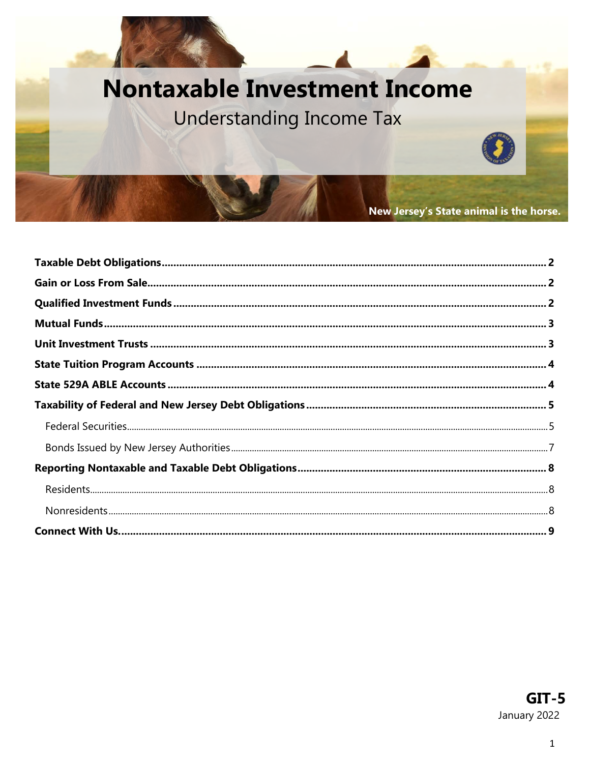# **Nontaxable Investment Income**

# Understanding Income Tax

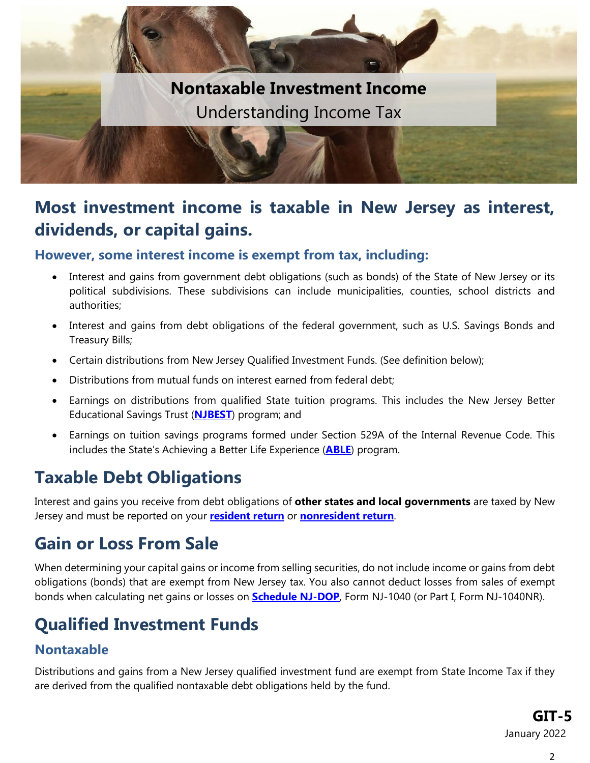

### **Most investment income is taxable in New Jersey as interest, dividends, or capital gains.**

#### **However, some interest income is exempt from tax, including:**

- Interest and gains from government debt obligations (such as bonds) of the State of New Jersey or its political subdivisions. These subdivisions can include municipalities, counties, school districts and authorities;
- Interest and gains from debt obligations of the federal government, such as U.S. Savings Bonds and Treasury Bills;
- Certain distributions from New Jersey Qualified Investment Funds. (See definition below);
- Distributions from mutual funds on interest earned from federal debt;
- Earnings on distributions from qualified State tuition programs. This includes the New Jersey Better Educational Savings Trust (**[NJBEST](#page-3-0)**) program; and
- Earnings on tuition savings programs formed under Section 529A of the Internal Revenue Code. This includes the State's Achieving a Better Life Experience (**[ABLE](#page-3-1)**) program.

## <span id="page-1-0"></span>**Taxable Debt Obligations**

Interest and gains you receive from debt obligations of **other states and local governments** are taxed by New Jersey and must be reported on your **[resident return](https://www.state.nj.us/treasury/taxation/pdf/current/1040.pdf)** or **[nonresident](https://www.state.nj.us/treasury/taxation/pdf/current/1040nr.pdf) return**.

## <span id="page-1-1"></span>**Gain or Loss From Sale**

When determining your capital gains or income from selling securities, do not include income or gains from debt obligations (bonds) that are exempt from New Jersey tax. You also cannot deduct losses from sales of exempt bonds when calculating net gains or losses on **[Schedule NJ-DOP](https://www.state.nj.us/treasury/taxation/pdf/current/schedulenjdop-wcc.pdf)**, Form NJ-1040 (or Part I, Form NJ-1040NR).

## <span id="page-1-2"></span>**Qualified Investment Funds**

#### **Nontaxable**

Distributions and gains from a New Jersey qualified investment fund are exempt from State Income Tax if they are derived from the qualified nontaxable debt obligations held by the fund.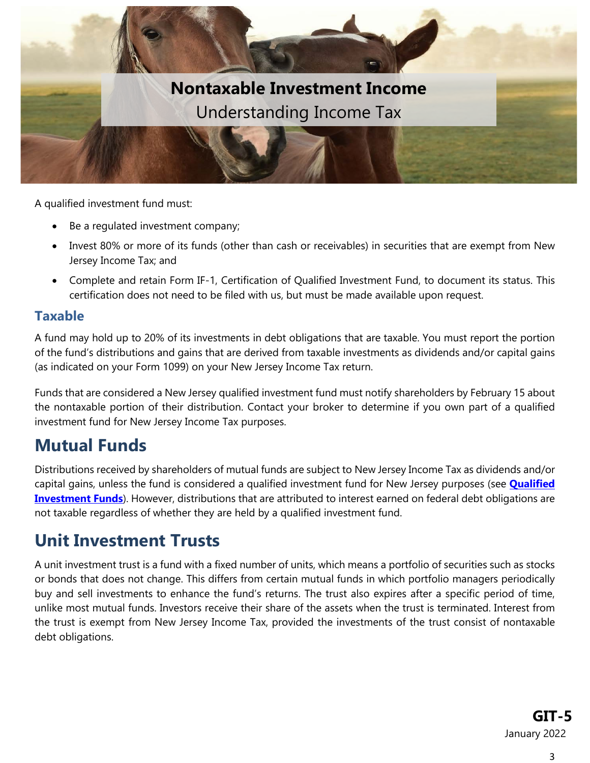

A qualified investment fund must:

- Be a regulated investment company;
- Invest 80% or more of its funds (other than cash or receivables) in securities that are exempt from New Jersey Income Tax; and
- Complete and retain Form IF-1, Certification of Qualified Investment Fund, to document its status. This certification does not need to be filed with us, but must be made available upon request.

#### **Taxable**

A fund may hold up to 20% of its investments in debt obligations that are taxable. You must report the portion of the fund's distributions and gains that are derived from taxable investments as dividends and/or capital gains (as indicated on your Form 1099) on your New Jersey Income Tax return.

Funds that are considered a New Jersey qualified investment fund must notify shareholders by February 15 about the nontaxable portion of their distribution. Contact your broker to determine if you own part of a qualified investment fund for New Jersey Income Tax purposes.

### <span id="page-2-0"></span>**Mutual Funds**

Distributions received by shareholders of mutual funds are subject to New Jersey Income Tax as dividends and/or capital gains, unless the fund is considered a qualified investment fund for New Jersey purposes (see **[Qualified](#page-1-2)  [Investment Funds](#page-1-2)**). However, distributions that are attributed to interest earned on federal debt obligations are not taxable regardless of whether they are held by a qualified investment fund.

### <span id="page-2-1"></span>**Unit Investment Trusts**

A unit investment trust is a fund with a fixed number of units, which means a portfolio of securities such as stocks or bonds that does not change. This differs from certain mutual funds in which portfolio managers periodically buy and sell investments to enhance the fund's returns. The trust also expires after a specific period of time, unlike most mutual funds. Investors receive their share of the assets when the trust is terminated. Interest from the trust is exempt from New Jersey Income Tax, provided the investments of the trust consist of nontaxable debt obligations.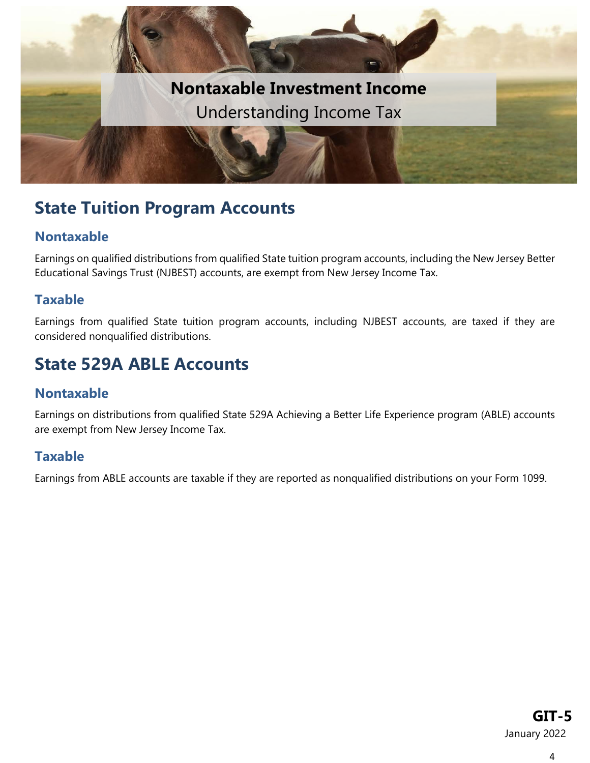

### <span id="page-3-0"></span>**State Tuition Program Accounts**

#### **Nontaxable**

Earnings on qualified distributions from qualified State tuition program accounts, including the New Jersey Better Educational Savings Trust (NJBEST) accounts, are exempt from New Jersey Income Tax.

#### **Taxable**

Earnings from qualified State tuition program accounts, including NJBEST accounts, are taxed if they are considered nonqualified distributions.

### <span id="page-3-1"></span>**State 529A ABLE Accounts**

#### **Nontaxable**

Earnings on distributions from qualified State 529A Achieving a Better Life Experience program (ABLE) accounts are exempt from New Jersey Income Tax.

#### **Taxable**

<span id="page-3-2"></span>Earnings from ABLE accounts are taxable if they are reported as nonqualified distributions on your Form 1099.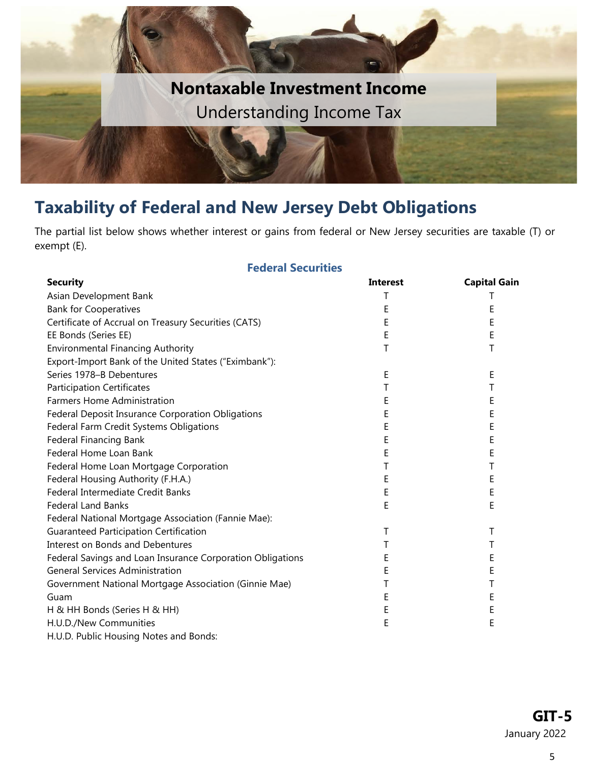

### **Taxability of Federal and New Jersey Debt Obligations**

The partial list below shows whether interest or gains from federal or New Jersey securities are taxable (T) or exempt (E).

#### **Federal Securities**

<span id="page-4-0"></span>

| <b>Security</b>                                            | <b>Interest</b> | <b>Capital Gain</b> |
|------------------------------------------------------------|-----------------|---------------------|
| Asian Development Bank                                     | Т               | Τ                   |
| <b>Bank for Cooperatives</b>                               | E               | Ε                   |
| Certificate of Accrual on Treasury Securities (CATS)       | Ε               | Ε                   |
| EE Bonds (Series EE)                                       | E               | Ε                   |
| <b>Environmental Financing Authority</b>                   | Τ               | Τ                   |
| Export-Import Bank of the United States ("Eximbank"):      |                 |                     |
| Series 1978-B Debentures                                   | E               | Е                   |
| <b>Participation Certificates</b>                          | T               | Τ                   |
| <b>Farmers Home Administration</b>                         | Ε               | Ε                   |
| Federal Deposit Insurance Corporation Obligations          | E               | Ε                   |
| Federal Farm Credit Systems Obligations                    | E               | E                   |
| <b>Federal Financing Bank</b>                              | E               | E                   |
| Federal Home Loan Bank                                     | E               | Ε                   |
| Federal Home Loan Mortgage Corporation                     | Τ               | Τ                   |
| Federal Housing Authority (F.H.A.)                         | Е               | Ε                   |
| Federal Intermediate Credit Banks                          | E               | E                   |
| <b>Federal Land Banks</b>                                  | E               | Ε                   |
| Federal National Mortgage Association (Fannie Mae):        |                 |                     |
| <b>Guaranteed Participation Certification</b>              | Т               | Τ                   |
| <b>Interest on Bonds and Debentures</b>                    | Τ               | Τ                   |
| Federal Savings and Loan Insurance Corporation Obligations | E               | Ε                   |
| <b>General Services Administration</b>                     | E               | Ε                   |
| Government National Mortgage Association (Ginnie Mae)      | T               | Τ                   |
| Guam                                                       | E               | Ε                   |
| H & HH Bonds (Series H & HH)                               | E               | E                   |
| H.U.D./New Communities                                     | Ε               | Ε                   |
| H.U.D. Public Housing Notes and Bonds:                     |                 |                     |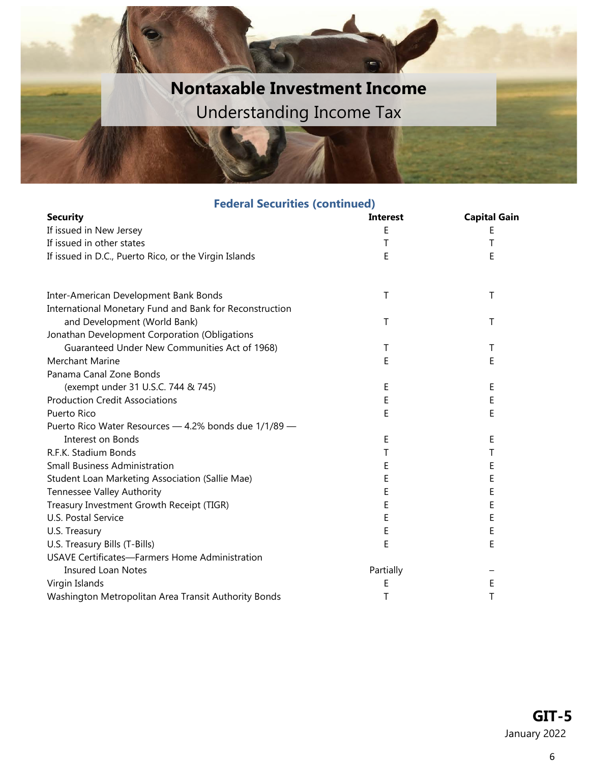# **Nontaxable Investment Income** Understanding Income Tax

#### **Federal Securities (continued)**

| <b>Security</b>                                         | <b>Interest</b> | <b>Capital Gain</b> |
|---------------------------------------------------------|-----------------|---------------------|
| If issued in New Jersey                                 | F               | Ε                   |
| If issued in other states                               | Т               | Τ                   |
| If issued in D.C., Puerto Rico, or the Virgin Islands   | E               | Ε                   |
| Inter-American Development Bank Bonds                   | Τ               | Τ                   |
| International Monetary Fund and Bank for Reconstruction |                 |                     |
| and Development (World Bank)                            | Τ               | Τ                   |
| Jonathan Development Corporation (Obligations           |                 |                     |
| Guaranteed Under New Communities Act of 1968)           | Τ               | Τ                   |
| Merchant Marine                                         | F               | E                   |
| Panama Canal Zone Bonds                                 |                 |                     |
| (exempt under 31 U.S.C. 744 & 745)                      | Ε               | Ε                   |
| <b>Production Credit Associations</b>                   | E               | Ε                   |
| Puerto Rico                                             | F               | E                   |
| Puerto Rico Water Resources - 4.2% bonds due 1/1/89 -   |                 |                     |
| Interest on Bonds                                       | E               | Ε                   |
| R.F.K. Stadium Bonds                                    | Т               | Т                   |
| <b>Small Business Administration</b>                    | Ε               | Ε                   |
| Student Loan Marketing Association (Sallie Mae)         | E               | Ε                   |
| <b>Tennessee Valley Authority</b>                       | E               | E                   |
| Treasury Investment Growth Receipt (TIGR)               | Ε               | Ε                   |
| U.S. Postal Service                                     | E               | E                   |
| U.S. Treasury                                           | E               | E                   |
| U.S. Treasury Bills (T-Bills)                           | F               | E                   |
| <b>USAVE Certificates-Farmers Home Administration</b>   |                 |                     |
| <b>Insured Loan Notes</b>                               | Partially       |                     |
| Virgin Islands                                          | Ε               | E                   |
| Washington Metropolitan Area Transit Authority Bonds    | T               | Τ                   |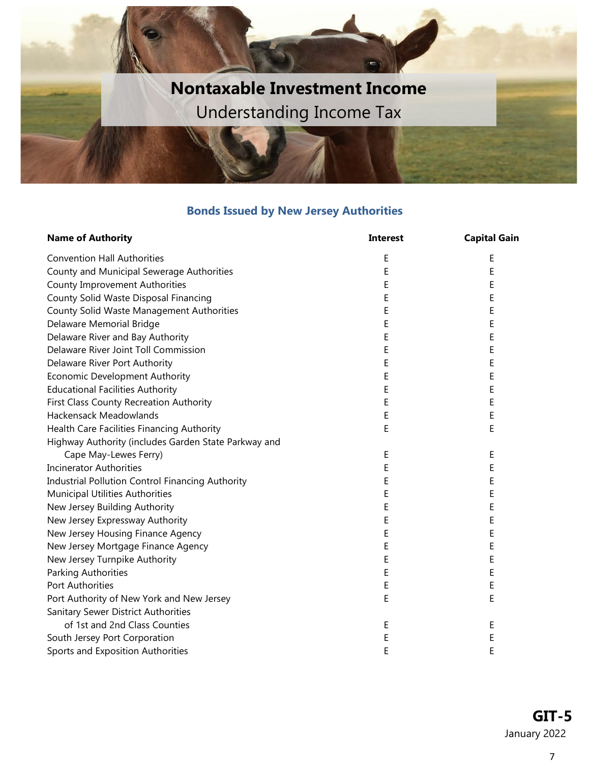

#### **Bonds Issued by New Jersey Authorities**

<span id="page-6-0"></span>

| <b>Name of Authority</b>                                | <b>Interest</b> | <b>Capital Gain</b> |
|---------------------------------------------------------|-----------------|---------------------|
| <b>Convention Hall Authorities</b>                      | Ε               | Е                   |
| County and Municipal Sewerage Authorities               | E               | Ε                   |
| <b>County Improvement Authorities</b>                   | E               | Ε                   |
| County Solid Waste Disposal Financing                   | E               | Ε                   |
| <b>County Solid Waste Management Authorities</b>        | Е               | E                   |
| Delaware Memorial Bridge                                | E               | E                   |
| Delaware River and Bay Authority                        | E               | E                   |
| Delaware River Joint Toll Commission                    | Ε               | Ε                   |
| Delaware River Port Authority                           | E               | E                   |
| Economic Development Authority                          | E               | E                   |
| <b>Educational Facilities Authority</b>                 | E               | E                   |
| First Class County Recreation Authority                 | E               | E                   |
| <b>Hackensack Meadowlands</b>                           | E               | E                   |
| Health Care Facilities Financing Authority              | E               | E                   |
| Highway Authority (includes Garden State Parkway and    |                 |                     |
| Cape May-Lewes Ferry)                                   | E               | Ε                   |
| <b>Incinerator Authorities</b>                          | Ε               | Ε                   |
| <b>Industrial Pollution Control Financing Authority</b> | E               | Ε                   |
| Municipal Utilities Authorities                         | Ε               | E                   |
| New Jersey Building Authority                           | E               | E                   |
| New Jersey Expressway Authority                         | E               | E                   |
| New Jersey Housing Finance Agency                       | E               | E                   |
| New Jersey Mortgage Finance Agency                      | E               | E                   |
| New Jersey Turnpike Authority                           | Ε               | Ε                   |
| Parking Authorities                                     | Ε               | Ε                   |
| Port Authorities                                        | Ε               | Ε                   |
| Port Authority of New York and New Jersey               | Ε               | E                   |
| Sanitary Sewer District Authorities                     |                 |                     |
| of 1st and 2nd Class Counties                           | Ε               | E                   |
| South Jersey Port Corporation                           | E               | E                   |
| Sports and Exposition Authorities                       | E               | E                   |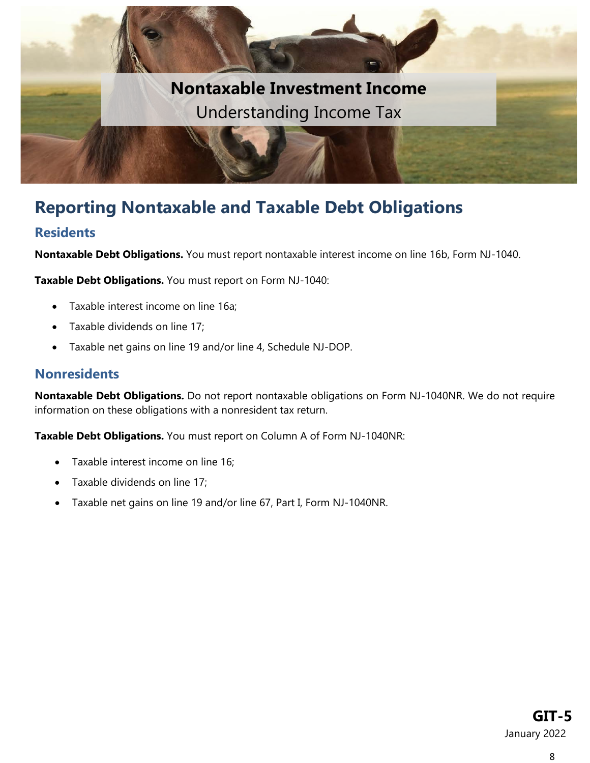

### <span id="page-7-0"></span>**Reporting Nontaxable and Taxable Debt Obligations**

#### <span id="page-7-1"></span>**Residents**

**Nontaxable Debt Obligations.** You must report nontaxable interest income on line 16b, Form NJ-1040.

**Taxable Debt Obligations.** You must report on Form NJ-1040:

- Taxable interest income on line 16a;
- Taxable dividends on line 17;
- Taxable net gains on line 19 and/or line 4, Schedule NJ-DOP.

#### <span id="page-7-2"></span>**Nonresidents**

**Nontaxable Debt Obligations.** Do not report nontaxable obligations on Form NJ-1040NR. We do not require information on these obligations with a nonresident tax return.

**Taxable Debt Obligations.** You must report on Column A of Form NJ-1040NR:

- Taxable interest income on line 16;
- Taxable dividends on line 17;
- Taxable net gains on line 19 and/or line 67, Part I, Form NJ-1040NR.